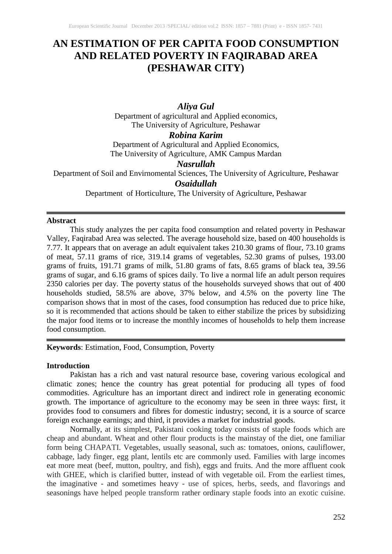# **AN ESTIMATION OF PER CAPITA FOOD CONSUMPTION AND RELATED POVERTY IN FAQIRABAD AREA (PESHAWAR CITY)**

### *Aliya Gul* Department of agricultural and Applied economics, The University of Agriculture, Peshawar

#### *Robina Karim*

Department of Agricultural and Applied Economics, The University of Agriculture, AMK Campus Mardan

## *Nasrullah*

Department of Soil and Envirnomental Sciences, The University of Agriculture, Peshawar

## *Osaidullah*

Department of Horticulture, The University of Agriculture, Peshawar

#### **Abstract**

This study analyzes the per capita food consumption and related poverty in Peshawar Valley, Faqirabad Area was selected. The average household size, based on 400 households is 7.77. It appears that on average an adult equivalent takes 210.30 grams of flour, 73.10 grams of meat, 57.11 grams of rice, 319.14 grams of vegetables, 52.30 grams of pulses, 193.00 grams of fruits, 191.71 grams of milk, 51.80 grams of fats, 8.65 grams of black tea, 39.56 grams of sugar, and 6.16 grams of spices daily. To live a normal life an adult person requires 2350 calories per day. The poverty status of the households surveyed shows that out of 400 households studied, 58.5% are above, 37% below, and 4.5% on the poverty line The comparison shows that in most of the cases, food consumption has reduced due to price hike, so it is recommended that actions should be taken to either stabilize the prices by subsidizing the major food items or to increase the monthly incomes of households to help them increase food consumption.

**Keywords**: Estimation, Food, Consumption, Poverty

#### **Introduction**

Pakistan has a rich and vast natural resource base, covering various ecological and climatic zones; hence the country has great potential for producing all types of food commodities. Agriculture has an important direct and indirect role in generating economic growth. The importance of agriculture to the economy may be seen in three ways: first, it provides food to consumers and fibres for domestic industry; second, it is a source of scarce foreign exchange earnings; and third, it provides a market for industrial goods.

Normally, at its simplest, Pakistani cooking today consists of staple foods which are cheap and abundant. Wheat and other flour products is the mainstay of the diet, one familiar form being CHAPATI. Vegetables, usually seasonal, such as: tomatoes, onions, cauliflower, cabbage, lady finger, egg plant, lentils etc are commonly used. Families with large incomes eat more meat (beef, mutton, poultry, and fish), eggs and fruits. And the more affluent cook with GHEE, which is clarified butter, instead of with vegetable oil. From the earliest times, the imaginative - and sometimes heavy - use of spices, herbs, seeds, and flavorings and seasonings have helped people transform rather ordinary staple foods into an exotic cuisine.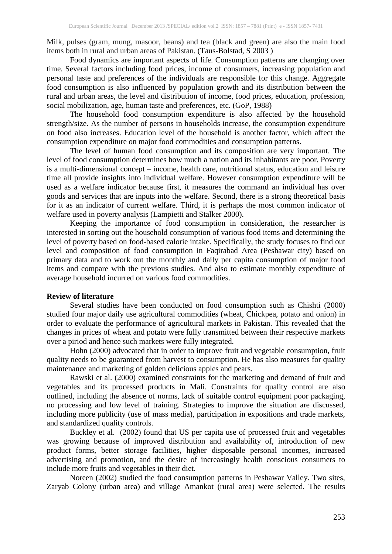Milk, pulses (gram, mung, masoor, beans) and tea (black and green) are also the main food items both in rural and urban areas of Pakistan. (Taus-Bolstad, S 2003 )

Food dynamics are important aspects of life. Consumption patterns are changing over time. Several factors including food prices, income of consumers, increasing population and personal taste and preferences of the individuals are responsible for this change. Aggregate food consumption is also influenced by population growth and its distribution between the rural and urban areas, the level and distribution of income, food prices, education, profession, social mobilization, age, human taste and preferences, etc. (GoP, 1988)

The household food consumption expenditure is also affected by the household strength/size. As the number of persons in households increase, the consumption expenditure on food also increases. Education level of the household is another factor, which affect the consumption expenditure on major food commodities and consumption patterns.

The level of human food consumption and its composition are very important. The level of food consumption determines how much a nation and its inhabitants are poor. Poverty is a multi-dimensional concept – income, health care, nutritional status, education and leisure time all provide insights into individual welfare. However consumption expenditure will be used as a welfare indicator because first, it measures the command an individual has over goods and services that are inputs into the welfare. Second, there is a strong theoretical basis for it as an indicator of current welfare. Third, it is perhaps the most common indicator of welfare used in poverty analysis (Lampietti and Stalker 2000).

Keeping the importance of food consumption in consideration, the researcher is interested in sorting out the household consumption of various food items and determining the level of poverty based on food-based calorie intake. Specifically, the study focuses to find out level and composition of food consumption in Faqirabad Area (Peshawar city) based on primary data and to work out the monthly and daily per capita consumption of major food items and compare with the previous studies. And also to estimate monthly expenditure of average household incurred on various food commodities.

#### **Review of literature**

Several studies have been conducted on food consumption such as Chishti (2000) studied four major daily use agricultural commodities (wheat, Chickpea, potato and onion) in order to evaluate the performance of agricultural markets in Pakistan. This revealed that the changes in prices of wheat and potato were fully transmitted between their respective markets over a piriod and hence such markets were fully integrated.

Hohn (2000) advocated that in order to improve fruit and vegetable consumption, fruit quality needs to be guaranteed from harvest to consumption. He has also measures for quality maintenance and marketing of golden delicious apples and pears.

Rawski et al. (2000) examined constraints for the marketing and demand of fruit and vegetables and its processed products in Mali. Constraints for quality control are also outlined, including the absence of norms, lack of suitable control equipment poor packaging, no processing and low level of training. Strategies to improve the situation are discussed, including more publicity (use of mass media), participation in expositions and trade markets, and standardized quality controls.

Buckley et al. (2002) found that US per capita use of processed fruit and vegetables was growing because of improved distribution and availability of, introduction of new product forms, better storage facilities, higher disposable personal incomes, increased advertising and promotion, and the desire of increasingly health conscious consumers to include more fruits and vegetables in their diet.

Noreen (2002) studied the food consumption patterns in Peshawar Valley. Two sites, Zaryab Colony (urban area) and village Amankot (rural area) were selected. The results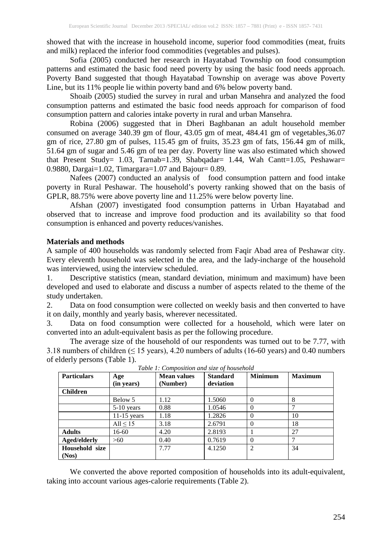showed that with the increase in household income, superior food commodities (meat, fruits and milk) replaced the inferior food commodities (vegetables and pulses).

Sofia (2005) conducted her research in Hayatabad Township on food consumption patterns and estimated the basic food need poverty by using the basic food needs approach. Poverty Band suggested that though Hayatabad Township on average was above Poverty Line, but its 11% people lie within poverty band and 6% below poverty band.

Shoaib (2005) studied the survey in rural and urban Mansehra and analyzed the food consumption patterns and estimated the basic food needs approach for comparison of food consumption pattern and calories intake poverty in rural and urban Mansehra.

Robina (2006) suggested that in Dheri Baghbanan an adult household member consumed on average 340.39 gm of flour, 43.05 gm of meat, 484.41 gm of vegetables,36.07 gm of rice, 27.80 gm of pulses, 115.45 gm of fruits, 35.23 gm of fats, 156.44 gm of milk, 51.64 gm of sugar and 5.46 gm of tea per day. Poverty line was also estimated which showed that Present Study= 1.03, Tarnab=1.39, Shabqadar= 1.44, Wah Cantt=1.05, Peshawar= 0.9880, Dargai=1.02, Timargara=1.07 and Bajour= 0.89.

Nafees (2007) conducted an analysis of food consumption pattern and food intake poverty in Rural Peshawar. The household's poverty ranking showed that on the basis of GPLR, 88.75% were above poverty line and 11.25% were below poverty line.

Afshan (2007) investigated food consumption patterns in Urban Hayatabad and observed that to increase and improve food production and its availability so that food consumption is enhanced and poverty reduces/vanishes.

#### **Materials and methods**

A sample of 400 households was randomly selected from Faqir Abad area of Peshawar city. Every eleventh household was selected in the area, and the lady-incharge of the household was interviewed, using the interview scheduled.

1. Descriptive statistics (mean, standard deviation, minimum and maximum) have been developed and used to elaborate and discuss a number of aspects related to the theme of the study undertaken.

2. Data on food consumption were collected on weekly basis and then converted to have it on daily, monthly and yearly basis, wherever necessitated.

3. Data on food consumption were collected for a household, which were later on converted into an adult-equivalent basis as per the following procedure.

The average size of the household of our respondents was turned out to be 7.77, with 3.18 numbers of children  $( \leq 15 \text{ years})$ , 4.20 numbers of adults (16-60 years) and 0.40 numbers of elderly persons (Table 1).

| <b>Particulars</b> | Age<br>(in years) | <b>Mean values</b><br>(Number) | <b>Standard</b><br>deviation | <b>Minimum</b> | <b>Maximum</b> |
|--------------------|-------------------|--------------------------------|------------------------------|----------------|----------------|
| <b>Children</b>    |                   |                                |                              |                |                |
|                    | Below 5           | 1.12                           | 1.5060                       | $\Omega$       | 8              |
|                    | $5-10$ years      | 0.88                           | 1.0546                       | $\Omega$       |                |
|                    | $11-15$ years     | 1.18                           | 1.2826                       | $\Omega$       | 10             |
|                    | All $\leq 15$     | 3.18                           | 2.6791                       | $\Omega$       | 18             |
| <b>Adults</b>      | 16-60             | 4.20                           | 2.8193                       |                | 27             |
| Aged/elderly       | >60               | 0.40                           | 0.7619                       | $\Omega$       |                |
| Household size     |                   | 7.77                           | 4.1250                       | 2              | 34             |
| (Nos)              |                   |                                |                              |                |                |

*Table 1: Composition and size of household*

We converted the above reported composition of households into its adult-equivalent, taking into account various ages-calorie requirements (Table 2).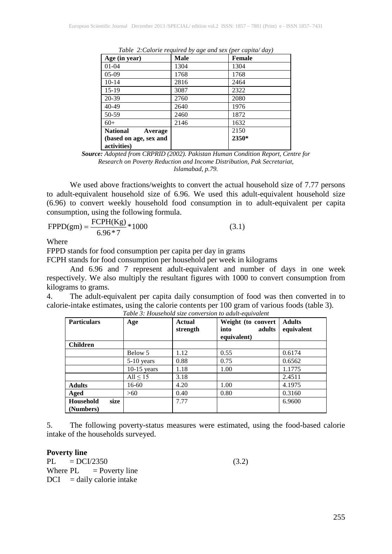| Age (in year)                         | <b>Male</b> | Female |
|---------------------------------------|-------------|--------|
| $01 - 04$                             | 1304        | 1304   |
| $05-09$                               | 1768        | 1768   |
| $10-14$                               | 2816        | 2464   |
| 15-19                                 | 3087        | 2322   |
| 20-39                                 | 2760        | 2080   |
| $40 - 49$                             | 2640        | 1976   |
| 50-59                                 | 2460        | 1872   |
| $60+$                                 | 2146        | 1632   |
| <b>National</b><br>Average            |             | 2150   |
| (based on age, sex and<br>activities) |             | 2350*  |

*Table 2:Calorie required by age and sex (per capita/ day)*

*Source: Adopted from CRPRID (2002). Pakistan Human Condition Report, Centre for Research on Poverty Reduction and Income Distribution, Pak Secretariat, Islamabad, p.79.*

We used above fractions/weights to convert the actual household size of 7.77 persons to adult-equivalent household size of 6.96. We used this adult-equivalent household size (6.96) to convert weekly household food consumption in to adult-equivalent per capita consumption, using the following formula.

$$
FPPD(gm) = \frac{FCPH(Kg)}{6.96*7} * 1000
$$
 (3.1)

Where

FPPD stands for food consumption per capita per day in grams

FCPH stands for food consumption per household per week in kilograms

And 6.96 and 7 represent adult-equivalent and number of days in one week respectively. We also multiply the resultant figures with 1000 to convert consumption from kilograms to grams.

4. The adult-equivalent per capita daily consumption of food was then converted in to calorie-intake estimates, using the calorie contents per 100 gram of various foods (table 3).

| <b>Particulars</b>             | Age           | Actual<br>strength | Weight (to convert<br>adults<br>into<br>equivalent) | <b>Adults</b><br>equivalent |
|--------------------------------|---------------|--------------------|-----------------------------------------------------|-----------------------------|
| <b>Children</b>                |               |                    |                                                     |                             |
|                                | Below 5       | 1.12               | 0.55                                                | 0.6174                      |
|                                | $5-10$ years  | 0.88               | 0.75                                                | 0.6562                      |
|                                | $10-15$ years | 1.18               | 1.00                                                | 1.1775                      |
|                                | All $\leq 15$ | 3.18               |                                                     | 2.4511                      |
| <b>Adults</b>                  | 16-60         | 4.20               | 1.00                                                | 4.1975                      |
| Aged                           | >60           | 0.40               | 0.80                                                | 0.3160                      |
| Household<br>size<br>(Numbers) |               | 7.77               |                                                     | 6.9600                      |

*Table 3: Household size conversion to adult-equivalent*

5. The following poverty-status measures were estimated, using the food-based calorie intake of the households surveyed.

#### **Poverty line**

 $PL = DC1/2350$  (3.2) Where  $PL = Powerty$  line  $DCI$  = daily calorie intake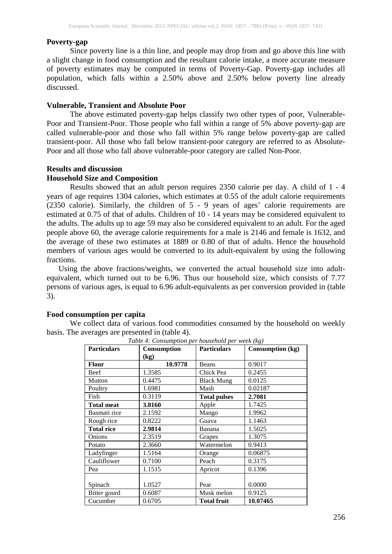#### **Poverty-gap**

Since poverty line is a thin line, and people may drop from and go above this line with a slight change in food consumption and the resultant calorie intake, a more accurate measure of poverty estimates may be computed in terms of Poverty-Gap. Poverty-gap includes all population, which falls within a 2.50% above and 2.50% below poverty line already discussed.

#### **Vulnerable, Transient and Absolute Poor**

The above estimated poverty-gap helps classify two other types of poor, Vulnerable-Poor and Transient-Poor. Those people who fall within a range of 5% above poverty-gap are called vulnerable-poor and those who fall within 5% range below poverty-gap are called transient-poor. All those who fall below transient-poor category are referred to as Absolute-Poor and all those who fall above vulnerable-poor category are called Non-Poor.

#### **Results and discussion**

#### **Household Size and Composition**

Results showed that an adult person requires 2350 calorie per day. A child of 1 - 4 years of age requires 1304 calories, which estimates at 0.55 of the adult calorie requirements (2350 calorie). Similarly, the children of 5 - 9 years of ages' calorie requirements are estimated at 0.75 of that of adults. Children of 10 - 14 years may be considered equivalent to the adults. The adults up to age 59 may also be considered equivalent to an adult. For the aged people above 60, the average calorie requirements for a male is 2146 and female is 1632, and the average of these two estimates at 1889 or 0.80 of that of adults. Hence the household members of various ages would be converted to its adult-equivalent by using the following fractions.

 Using the above fractions/weights, we converted the actual household size into adultequivalent, which turned out to be 6.96. Thus our household size, which consists of 7.77 persons of various ages, is equal to 6.96 adult-equivalents as per conversion provided in (table 3).

#### **Food consumption per capita**

We collect data of various food commodities consumed by the household on weekly basis. The averages are presented in (table 4).

| <b>Particulars</b> | $\overline{ }$<br>Consumption | <b>Particulars</b>  | <b>Consumption (kg)</b> |
|--------------------|-------------------------------|---------------------|-------------------------|
|                    | $\left(\text{kg}\right)$      |                     |                         |
| <b>Flour</b>       | 10.9778                       | Beans               | 0.9017                  |
| Beef               | 1.3585                        | Chick Pea           | 0.2455                  |
| Mutton             | 0.4475                        | <b>Black Mung</b>   | 0.0125                  |
| Poultry            | 1.6981                        | Mash                | 0.02187                 |
| Fish               | 0.3119                        | <b>Total pulses</b> | 2.7081                  |
| <b>Total meat</b>  | 3.8160                        | Apple               | 1.7425                  |
| Basmati rice       | 2.1592                        | Mango               | 1.9962                  |
| Rough rice         | 0.8222                        | Guava               | 1.1463                  |
| <b>Total rice</b>  | 2.9814                        | Banana              | 1.5025                  |
| Onions             | 2.3519                        | Grapes              | 1.3075                  |
| Potato             | 2.3660                        | Watermelon          | 0.9413                  |
| Ladyfinger         | 1.5164                        | Orange              | 0.06875                 |
| Cauliflower        | 0.7100                        | Peach               | 0.3175                  |
| Pea                | 1.1515                        | Apricot             | 0.1396                  |
|                    |                               |                     |                         |
| Spinach            | 1.0527                        | Pear                | 0.0000                  |
| Bitter gourd       | 0.6087                        | Musk melon          | 0.9125                  |
| Cucumber           | 0.6705                        | <b>Total fruit</b>  | 10.07465                |

*Table 4: Consumption per household per week (kg)*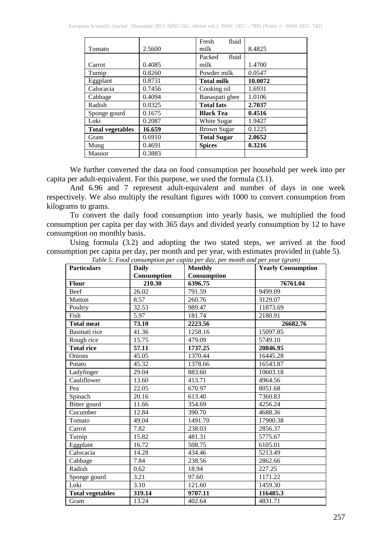|                         |        | fluid<br>Fresh     |         |
|-------------------------|--------|--------------------|---------|
| Tomato                  | 2.5600 | milk               | 8.4825  |
|                         |        | fluid<br>Packed    |         |
| Carrot                  | 0.4085 | milk               | 1.4700  |
| Turnip                  | 0.8260 | Powder milk        | 0.0547  |
| Eggplant                | 0.8731 | <b>Total milk</b>  | 10.0072 |
| Calocacia               | 0.7456 | Cooking oil        | 1.6931  |
| Cabbage                 | 0.4094 | Banaspati ghee     | 1.0106  |
| Radish                  | 0.0325 | <b>Total fats</b>  | 2.7037  |
| Sponge gourd            | 0.1675 | <b>Black Tea</b>   | 0.4516  |
| Loki                    | 0.2087 | White Sugar        | 1.9427  |
| <b>Total vegetables</b> | 16.659 | <b>Brown Sugar</b> | 0.1225  |
| Gram                    | 0.6910 | <b>Total Sugar</b> | 2.0652  |
| Mung                    | 0.4691 | <b>Spices</b>      | 0.3216  |
| <b>Masoor</b>           | 0.3883 |                    |         |

We further converted the data on food consumption per household per week into per capita per adult-equivalent. For this purpose, we used the formula (3.1).

And 6.96 and 7 represent adult-equivalent and number of days in one week respectively. We also multiply the resultant figures with 1000 to convert consumption from kilograms to grams.

To convert the daily food consumption into yearly basis, we multiplied the food consumption per capita per day with 365 days and divided yearly consumption by 12 to have consumption on monthly basis.

Using formula (3.2) and adopting the two stated steps, we arrived at the food consumption per capita per day, per month and per year, with estimates provided in (table 5).

| <b>Particulars</b>      | <b>Daily</b> | <b>Monthly</b> | <b>Yearly Consumption</b> |
|-------------------------|--------------|----------------|---------------------------|
|                         | Consumption  | Consumption    |                           |
| <b>Flour</b>            | 210.30       | 6396.75        | 76761.04                  |
| Beef                    | 26.02        | 791.59         | 9499.09                   |
| Mutton                  | 8.57         | 260.76         | 3129.07                   |
| Poultry                 | 32.53        | 989.47         | 11873.69                  |
| Fish                    | 5.97         | 181.74         | 2180.91                   |
| <b>Total meat</b>       | 73.10        | 2223.56        | 26682.76                  |
| Basmati rice            | 41.36        | 1258.16        | 15097.85                  |
| Rough rice              | 15.75        | 479.09         | 5749.10                   |
| <b>Total rice</b>       | 57.11        | 1737.25        | 20846.95                  |
| Onions                  | 45.05        | 1370.44        | 16445.28                  |
| Potato                  | 45.32        | 1378.66        | 16543.87                  |
| Ladyfinger              | 29.04        | 883.60         | 10603.18                  |
| Cauliflower             | 13.60        | 413.71         | 4964.56                   |
| Pea                     | 22.05        | 670.97         | 8051.68                   |
| Spinach                 | 20.16        | 613.40         | 7360.83                   |
| Bitter gourd            | 11.66        | 354.69         | 4256.24                   |
| Cucumber                | 12.84        | 390.70         | 4688.36                   |
| Tomato                  | 49.04        | 1491.70        | 17900.38                  |
| Carrot                  | 7.82         | 238.03         | 2856.37                   |
| Turnip                  | 15.82        | 481.31         | 5775.67                   |
| Eggplant                | 16.72        | 508.75         | 6105.01                   |
| Calocacia               | 14.28        | 434.46         | 5213.49                   |
| Cabbage                 | 7.84         | 238.56         | 2862.66                   |
| Radish                  | 0.62         | 18.94          | 227.25                    |
| Sponge gourd            | 3.21         | 97.60          | 1171.22                   |
| Loki                    | 3.10         | 121.60         | 1459.30                   |
| <b>Total vegetables</b> | 319.14       | 9707.11        | 116485.3                  |
| Gram                    | 13.24        | 402.64         | 4831.71                   |

*Table 5: Food consumption per capita per day, per month and per year (gram)*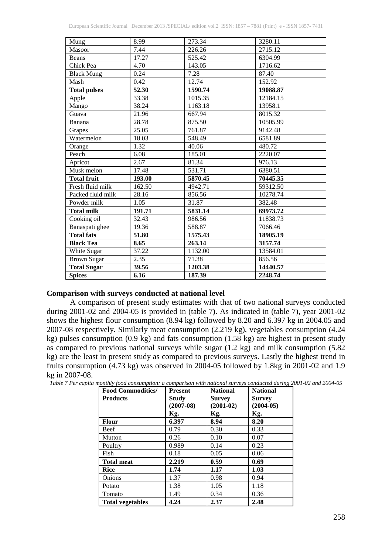| Mung                | 8.99   | 273.34  | 3280.11  |
|---------------------|--------|---------|----------|
| Masoor              | 7.44   | 226.26  | 2715.12  |
| Beans               | 17.27  | 525.42  | 6304.99  |
| Chick Pea           | 4.70   | 143.05  | 1716.62  |
| <b>Black Mung</b>   | 0.24   | 7.28    | 87.40    |
| Mash                | 0.42   | 12.74   | 152.92   |
| <b>Total pulses</b> | 52.30  | 1590.74 | 19088.87 |
| Apple               | 33.38  | 1015.35 | 12184.15 |
| Mango               | 38.24  | 1163.18 | 13958.1  |
| Guava               | 21.96  | 667.94  | 8015.32  |
| Banana              | 28.78  | 875.50  | 10505.99 |
| Grapes              | 25.05  | 761.87  | 9142.48  |
| Watermelon          | 18.03  | 548.49  | 6581.89  |
| Orange              | 1.32   | 40.06   | 480.72   |
| Peach               | 6.08   | 185.01  | 2220.07  |
| Apricot             | 2.67   | 81.34   | 976.13   |
| Musk melon          | 17.48  | 531.71  | 6380.51  |
| <b>Total fruit</b>  | 193.00 | 5870.45 | 70445.35 |
| Fresh fluid milk    | 162.50 | 4942.71 | 59312.50 |
| Packed fluid milk   | 28.16  | 856.56  | 10278.74 |
| Powder milk         | 1.05   | 31.87   | 382.48   |
| <b>Total milk</b>   | 191.71 | 5831.14 | 69973.72 |
| Cooking oil         | 32.43  | 986.56  | 11838.73 |
| Banaspati ghee      | 19.36  | 588.87  | 7066.46  |
| <b>Total fats</b>   | 51.80  | 1575.43 | 18905.19 |
| <b>Black Tea</b>    | 8.65   | 263.14  | 3157.74  |
| White Sugar         | 37.22  | 1132.00 | 13584.01 |
| <b>Brown Sugar</b>  | 2.35   | 71.38   | 856.56   |
| <b>Total Sugar</b>  | 39.56  | 1203.38 | 14440.57 |
| <b>Spices</b>       | 6.16   | 187.39  | 2248.74  |

## **Comparison with surveys conducted at national level**

A comparison of present study estimates with that of two national surveys conducted during 2001-02 and 2004-05 is provided in (table 7**).** As indicated in (table 7), year 2001-02 shows the highest flour consumption (8.94 kg) followed by 8.20 and 6.397 kg in 2004.05 and 2007-08 respectively. Similarly meat consumption (2.219 kg), vegetables consumption (4.24 kg) pulses consumption (0.9 kg) and fats consumption (1.58 kg) are highest in present study as compared to previous national surveys while sugar  $(1.2 \text{ kg})$  and milk consumption  $(5.82 \text{ m})$ kg) are the least in present study as compared to previous surveys. Lastly the highest trend in fruits consumption (4.73 kg) was observed in 2004-05 followed by 1.8kg in 2001-02 and 1.9 kg in 2007-08.

| Table 7 Per capita monthly food consumption: a comparison with national surveys conducted during 2001-02 and 2004-05 |  |  |
|----------------------------------------------------------------------------------------------------------------------|--|--|
|----------------------------------------------------------------------------------------------------------------------|--|--|

| <b>Food Commodities/</b> | <b>Present</b> | <b>National</b> | <b>National</b> |
|--------------------------|----------------|-----------------|-----------------|
| <b>Products</b>          | Study          | <b>Survey</b>   | <b>Survey</b>   |
|                          | $(2007-08)$    | $(2001-02)$     | $(2004-05)$     |
|                          | Kg.            | Kg.             | Kg.             |
| Flour                    | 6.397          | 8.94            | 8.20            |
| Beef                     | 0.79           | 0.30            | 0.33            |
| Mutton                   | 0.26           | 0.10            | 0.07            |
| Poultry                  | 0.989          | 0.14            | 0.23            |
| Fish                     | 0.18           | 0.05            | 0.06            |
| <b>Total meat</b>        | 2.219          | 0.59            | 0.69            |
| Rice                     | 1.74           | 1.17            | 1.03            |
| Onions                   | 1.37           | 0.98            | 0.94            |
| Potato                   | 1.38           | 1.05            | 1.18            |
| Tomato                   | 1.49           | 0.34            | 0.36            |
| <b>Total vegetables</b>  | 4.24           | 2.37            | 2.48            |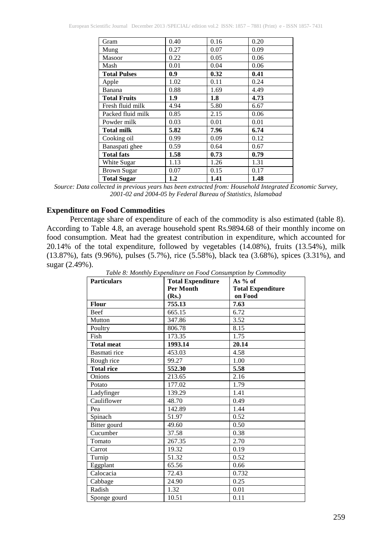| Gram                | 0.40 | 0.16 | 0.20 |
|---------------------|------|------|------|
| Mung                | 0.27 | 0.07 | 0.09 |
| Masoor              | 0.22 | 0.05 | 0.06 |
| Mash                | 0.01 | 0.04 | 0.06 |
| <b>Total Pulses</b> | 0.9  | 0.32 | 0.41 |
| Apple               | 1.02 | 0.11 | 0.24 |
| Banana              | 0.88 | 1.69 | 4.49 |
| <b>Total Fruits</b> | 1.9  | 1.8  | 4.73 |
| Fresh fluid milk    | 4.94 | 5.80 | 6.67 |
| Packed fluid milk   | 0.85 | 2.15 | 0.06 |
| Powder milk         | 0.03 | 0.01 | 0.01 |
| <b>Total milk</b>   | 5.82 | 7.96 | 6.74 |
| Cooking oil         | 0.99 | 0.09 | 0.12 |
| Banaspati ghee      | 0.59 | 0.64 | 0.67 |
| <b>Total fats</b>   | 1.58 | 0.73 | 0.79 |
| White Sugar         | 1.13 | 1.26 | 1.31 |
| <b>Brown Sugar</b>  | 0.07 | 0.15 | 0.17 |
| <b>Total Sugar</b>  | 1.2  | 1.41 | 1.48 |

*Source: Data collected in previous years has been extracted from: Household Integrated Economic Survey, 2001-02 and 2004-05 by Federal Bureau of Statistics, Islamabad*

#### **Expenditure on Food Commodities**

Percentage share of expenditure of each of the commodity is also estimated (table 8). According to Table 4.8, an average household spent Rs.9894.68 of their monthly income on food consumption. Meat had the greatest contribution in expenditure, which accounted for 20.14% of the total expenditure, followed by vegetables (14.08%), fruits (13.54%), milk (13.87%), fats (9.96%), pulses (5.7%), rice (5.58%), black tea (3.68%), spices (3.31%), and sugar (2.49%).

| <b>Particulars</b> | <b>Total Expenditure</b> | As $%$ of                |
|--------------------|--------------------------|--------------------------|
|                    | <b>Per Month</b>         | <b>Total Expenditure</b> |
|                    | (Rs.)                    | on Food                  |
| <b>Flour</b>       | 755.13                   | 7.63                     |
| Beef               | 665.15                   | 6.72                     |
| Mutton             | 347.86                   | 3.52                     |
| Poultry            | 806.78                   | 8.15                     |
| Fish               | 173.35                   | 1.75                     |
| <b>Total meat</b>  | 1993.14                  | 20.14                    |
| Basmati rice       | 453.03                   | 4.58                     |
| Rough rice         | 99.27                    | 1.00                     |
| <b>Total rice</b>  | 552.30                   | 5.58                     |
| <b>Onions</b>      | 213.65                   | 2.16                     |
| Potato             | 177.02                   | 1.79                     |
| Ladyfinger         | 139.29                   | 1.41                     |
| Cauliflower        | 48.70                    | 0.49                     |
| Pea                | 142.89                   | 1.44                     |
| Spinach            | 51.97                    | 0.52                     |
| Bitter gourd       | 49.60                    | 0.50                     |
| Cucumber           | 37.58                    | 0.38                     |
| Tomato             | 267.35                   | 2.70                     |
| Carrot             | 19.32                    | 0.19                     |
| Turnip             | 51.32                    | 0.52                     |
| Eggplant           | 65.56                    | 0.66                     |
| Calocacia          | 72.43                    | 0.732                    |
| Cabbage            | 24.90                    | 0.25                     |
| Radish             | 1.32                     | 0.01                     |
| Sponge gourd       | 10.51                    | 0.11                     |

*Table 8: Monthly Expenditure on Food Consumption by Commodity*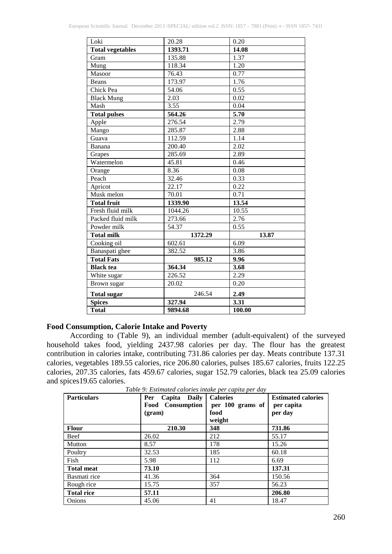| Loki                    | 20.28   | 0.20              |
|-------------------------|---------|-------------------|
| <b>Total vegetables</b> | 1393.71 | 14.08             |
| Gram                    | 135.88  | 1.37              |
| Mung                    | 118.34  | 1.20              |
| Masoor                  | 76.43   | 0.77              |
| <b>Beans</b>            | 173.97  | 1.76              |
| Chick Pea               | 54.06   | 0.55              |
| <b>Black Mung</b>       | 2.03    | 0.02              |
| Mash                    | 3.55    | 0.04              |
| <b>Total pulses</b>     | 564.26  | 5.70              |
| Apple                   | 276.54  | 2.79              |
| Mango                   | 285.87  | 2.88              |
| Guava                   | 112.59  | 1.14              |
| $\bar{B}$ anana         | 200.40  | $\overline{2.02}$ |
| Grapes                  | 285.69  | 2.89              |
| Watermelon              | 45.81   | 0.46              |
| Orange                  | 8.36    | 0.08              |
| Peach                   | 32.46   | 0.33              |
| Apricot                 | 22.17   | 0.22              |
| Musk melon              | 70.01   | 0.71              |
| <b>Total fruit</b>      | 1339.90 | 13.54             |
| Fresh fluid milk        | 1044.26 | 10.55             |
| Packed fluid milk       | 273.66  | 2.76              |
| Powder milk             | 54.37   | 0.55              |
| <b>Total milk</b>       | 1372.29 | 13.87             |
| Cooking oil             | 602.61  | 6.09              |
| Banaspati ghee          | 382.52  | 3.86              |
| <b>Total Fats</b>       | 985.12  | 9.96              |
| <b>Black</b> tea        | 364.34  | 3.68              |
| White sugar             | 226.52  | 2.29              |
| Brown sugar             | 20.02   | 0.20              |
| <b>Total sugar</b>      | 246.54  | 2.49              |
| <b>Spices</b>           | 327.94  | 3.31              |
| <b>Total</b>            | 9894.68 | 100.00            |

#### **Food Consumption, Calorie Intake and Poverty**

According to (Table 9), an individual member (adult-equivalent) of the surveyed household takes food, yielding 2437.98 calories per day. The flour has the greatest contribution in calories intake, contributing 731.86 calories per day. Meats contribute 137.31 calories, vegetables 189.55 calories, rice 206.80 calories, pulses 185.67 calories, fruits 122.25 calories, 207.35 calories, fats 459.67 calories, sugar 152.79 calories, black tea 25.09 calories and spices19.65 calories.

| <b>Particulars</b> | Per<br>Capita Daily<br><b>Food</b> Consumption<br>(gram) | <b>Calories</b><br>per 100 grams of<br>food<br>weight | <b>Estimated calories</b><br>per capita<br>per day |
|--------------------|----------------------------------------------------------|-------------------------------------------------------|----------------------------------------------------|
| <b>Flour</b>       | 210.30                                                   | 348                                                   | 731.86                                             |
| Beef               | 26.02                                                    | 212                                                   | 55.17                                              |
| Mutton             | 8.57                                                     | 178                                                   | 15.26                                              |
| Poultry            | 32.53                                                    | 185                                                   | 60.18                                              |
| Fish               | 5.98                                                     | 112                                                   | 6.69                                               |
| <b>Total meat</b>  | 73.10                                                    |                                                       | 137.31                                             |
| Basmati rice       | 41.36                                                    | 364                                                   | 150.56                                             |
| Rough rice         | 15.75                                                    | 357                                                   | 56.23                                              |
| <b>Total rice</b>  | 57.11                                                    |                                                       | 206.80                                             |
| Onions             | 45.06                                                    | 41                                                    | 18.47                                              |

*Table 9: Estimated calories intake per capita per day*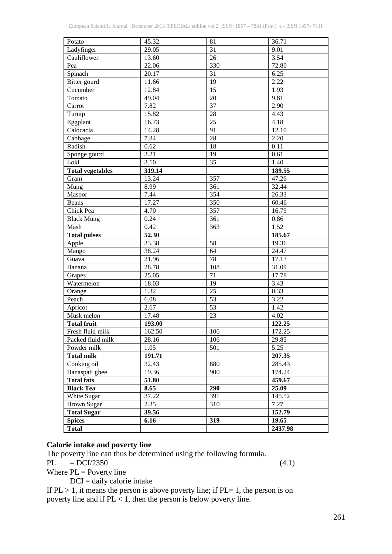| Potato                  | 45.32              | 81              | 36.71   |
|-------------------------|--------------------|-----------------|---------|
| Ladyfinger              | 29.05              | 31              | 9.01    |
| Cauliflower             | 13.60              | 26              | 3.54    |
| Pea                     | 22.06              | 330             | 72.80   |
| Spinach                 | 20.17              | 31              | 6.25    |
| Bitter gourd            | 11.66              | 19              | 2.22    |
| Cucumber                | 12.84              | 15              | 1.93    |
| Tomato                  | 49.04              | 20              | 9.81    |
| Carrot                  | 7.82               | $\overline{37}$ | 2.90    |
| Turnip                  | 15.82              | 28              | 4.43    |
| Eggplant                | 16.73              | 25              | 4.18    |
| Calocacia               | $\overline{14.28}$ | 91              | 12.10   |
| Cabbage                 | 7.84               | 28              | 2.20    |
| Radish                  | 0.62               | 18              | 0.11    |
| Sponge gourd            | 3.21               | 19              | 0.61    |
| Loki                    | 3.10               | $\overline{35}$ | 1.40    |
| <b>Total vegetables</b> | 319.14             |                 | 189.55  |
| Gram                    | 13.24              | 357             | 47.26   |
| Mung                    | 8.99               | 361             | 32.44   |
| Masoor                  | 7.44               | 354             | 26.33   |
| <b>Beans</b>            | 17.27              | 350             | 60.46   |
| Chick Pea               | 4.70               | 357             | 16.79   |
| <b>Black Mung</b>       | 0.24               | 361             | 0.86    |
| Mash                    | 0.42               | 363             | 1.52    |
| <b>Total pulses</b>     | 52.30              |                 | 185.67  |
| Apple                   | 33.38              | 58              | 19.36   |
| Mango                   | 38.24              | 64              | 24.47   |
| Guava                   | 21.96              | 78              | 17.13   |
| Banana                  | 28.78              | 108             | 31.09   |
| Grapes                  | 25.05              | 71              | 17.78   |
| Watermelon              | 18.03              | 19              | 3.43    |
| Orange                  | 1.32               | 25              | 0.33    |
| Peach                   | 6.08               | $\overline{53}$ | 3.22    |
| Apricot                 | 2.67               | 53              | 1.42    |
| Musk melon              | 17.48              | 23              | 4.02    |
| <b>Total fruit</b>      | 193.00             |                 | 122.25  |
| Fresh fluid milk        | 162.50             | 106             | 172.25  |
| Packed fluid milk       | 28.16              | 106             | 29.85   |
| Powder milk             | 1.05               | 501             | 5.25    |
| <b>Total milk</b>       | 191.71             |                 | 207.35  |
| Cooking oil             | 32.43              | 880             | 285.43  |
| Banaspati ghee          | 19.36              | 900             | 174.24  |
| <b>Total fats</b>       | 51.80              |                 | 459.67  |
| <b>Black Tea</b>        | 8.65               | <b>290</b>      | 25.09   |
| White Sugar             | 37.22              | 391             | 145.52  |
| <b>Brown Sugar</b>      | 2.35               | 310             | 7.27    |
| <b>Total Sugar</b>      | 39.56              |                 | 152.79  |
| <b>Spices</b>           | 6.16               | 319             | 19.65   |
| <b>Total</b>            |                    |                 | 2437.98 |
|                         |                    |                 |         |

## **Calorie intake and poverty line**

The poverty line can thus be determined using the following formula.

PL  $=$  DCI/2350 (4.1)

Where  $PL =$  Poverty line  $DCI = \text{daily}$  calorie intake

If  $PL > 1$ , it means the person is above poverty line; if  $PL = 1$ , the person is on poverty line and if PL < 1, then the person is below poverty line.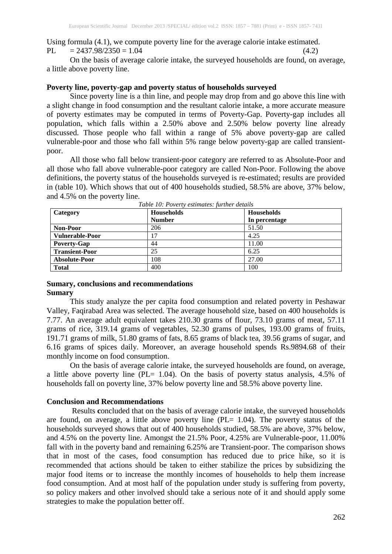Using formula (4.1), we compute poverty line for the average calorie intake estimated. PL  $= 2437.98/2350 = 1.04$  (4.2)

On the basis of average calorie intake, the surveyed households are found, on average, a little above poverty line.

#### **Poverty line, poverty-gap and poverty status of households surveyed**

Since poverty line is a thin line, and people may drop from and go above this line with a slight change in food consumption and the resultant calorie intake, a more accurate measure of poverty estimates may be computed in terms of Poverty-Gap. Poverty-gap includes all population, which falls within a 2.50% above and 2.50% below poverty line already discussed. Those people who fall within a range of 5% above poverty-gap are called vulnerable-poor and those who fall within 5% range below poverty-gap are called transientpoor.

All those who fall below transient-poor category are referred to as Absolute-Poor and all those who fall above vulnerable-poor category are called Non-Poor. Following the above definitions, the poverty status of the households surveyed is re-estimated; results are provided in (table 10). Which shows that out of 400 households studied, 58.5% are above, 37% below, and 4.5% on the poverty line.

| Category               | <b>Households</b> | <b>Households</b> |
|------------------------|-------------------|-------------------|
|                        | <b>Number</b>     | In percentage     |
| Non-Poor               | 206               | 51.50             |
| <b>Vulnerable-Poor</b> | 17                | 4.25              |
| Poverty-Gap            | 44                | 11.00             |
| <b>Transient-Poor</b>  | 25                | 6.25              |
| <b>Absolute-Poor</b>   | 108               | 27.00             |
| <b>Total</b>           | 400               | 100               |

*Table 10: Poverty estimates: further details*

#### **Sumary, conclusions and recommendations Sumary**

This study analyze the per capita food consumption and related poverty in Peshawar Valley, Faqirabad Area was selected. The average household size, based on 400 households is 7.77. An average adult equivalent takes 210.30 grams of flour, 73.10 grams of meat, 57.11 grams of rice, 319.14 grams of vegetables, 52.30 grams of pulses, 193.00 grams of fruits, 191.71 grams of milk, 51.80 grams of fats, 8.65 grams of black tea, 39.56 grams of sugar, and 6.16 grams of spices daily. Moreover, an average household spends Rs.9894.68 of their monthly income on food consumption.

On the basis of average calorie intake, the surveyed households are found, on average, a little above poverty line (PL= 1.04). On the basis of poverty status analysis, 4.5% of households fall on poverty line, 37% below poverty line and 58.5% above poverty line.

#### **Conclusion and Recommendations**

Results **c**oncluded that on the basis of average calorie intake, the surveyed households are found, on average, a little above poverty line (PL= 1.04). The poverty status of the households surveyed shows that out of 400 households studied, 58.5% are above, 37% below, and 4.5% on the poverty line. Amongst the 21.5% Poor, 4.25% are Vulnerable-poor, 11.00% fall with in the poverty band and remaining 6.25% are Transient-poor. The comparison shows that in most of the cases, food consumption has reduced due to price hike, so it is recommended that actions should be taken to either stabilize the prices by subsidizing the major food items or to increase the monthly incomes of households to help them increase food consumption. And at most half of the population under study is suffering from poverty, so policy makers and other involved should take a serious note of it and should apply some strategies to make the population better off.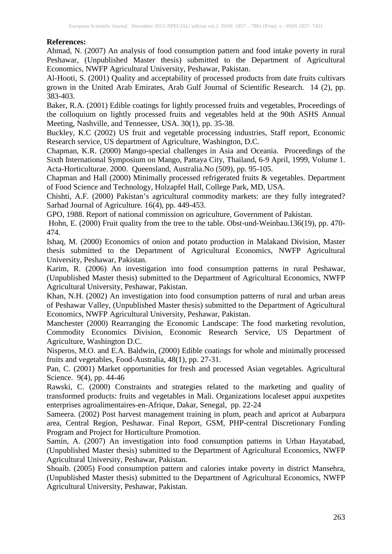#### **References:**

Ahmad, N. (2007) An analysis of food consumption pattern and food intake poverty in rural Peshawar, (Unpublished Master thesis) submitted to the Department of Agricultural Economics, NWFP Agricultural University, Peshawar, Pakistan.

Al-Hooti, S. (2001) Quality and acceptability of processed products from date fruits cultivars grown in the United Arab Emirates, Arab Gulf Journal of Scientific Research. 14 (2), pp. 383-403.

Baker, R.A. (2001) Edible coatings for lightly processed fruits and vegetables, Proceedings of the colloquium on lightly processed fruits and vegetables held at the 90th ASHS Annual Meeting, Nashville, and Tennessee, USA. 30(1), pp. 35-38.

Buckley, K.C (2002) US fruit and vegetable processing industries, Staff report, Economic Research service, US department of Agriculture, Washington, D.C.

Chapman, K.R. (2000) Mango-special challenges in Asia and Oceania. Proceedings of the Sixth International Symposium on Mango, Pattaya City, Thailand, 6-9 April, 1999, Volume 1. Acta-Horticulturae. 2000. Queensland, Australia.No (509), pp. 95-105.

Chapman and Hall (2000) Minimally processed refrigerated fruits & vegetables. Department of Food Science and Technology, Holzapfel Hall, College Park, MD, USA.

Chishti, A.F. (2000) Pakistan's agricultural commodity markets: are they fully integrated? Sarhad Journal of Agriculture. 16(4), pp. 449-453.

GPO, 1988. Report of national commission on agriculture, Government of Pakistan.

Hohn, E. (2000) Fruit quality from the tree to the table. Obst-und-Weinbau.136(19), pp. 470- 474.

Ishaq, M. (2000) Economics of onion and potato production in Malakand Division, Master thesis submitted to the Department of Agricultural Economics, NWFP Agricultural University, Peshawar, Pakistan.

Karim, R. (2006) An investigation into food consumption patterns in rural Peshawar, (Unpublished Master thesis) submitted to the Department of Agricultural Economics, NWFP Agricultural University, Peshawar, Pakistan.

Khan, N.H. (2002) An investigation into food consumption patterns of rural and urban areas of Peshawar Valley, (Unpublished Master thesis) submitted to the Department of Agricultural Economics, NWFP Agricultural University, Peshawar, Pakistan.

Manchester (2000) Rearranging the Economic Landscape: The food marketing revolution, Commodity Economics Division, Economic Research Service, US Department of Agriculture, Washington D.C.

Nisperos, M.O. and E.A. Baldwin, (2000) Edible coatings for whole and minimally processed fruits and vegetables, Food-Australia, 48(1), pp. 27-31.

Pan, C. (2001) Market opportunities for fresh and processed Asian vegetables. Agricultural Science. 9(4), pp. 44-46

Rawski, C. (2000) Constraints and strategies related to the marketing and quality of transformed products: fruits and vegetables in Mali. Organizations localeset appui auxpetites enterprises agroalimentaires-en-Afrique, Dakar, Senegal, pp. 22-24

Sameera. (2002) Post harvest management training in plum, peach and apricot at Aubarpura area, Central Region, Peshawar. Final Report, GSM, PHP-central Discretionary Funding Program and Project for Horticulture Promotion.

Samin, A. (2007) An investigation into food consumption patterns in Urban Hayatabad, (Unpublished Master thesis) submitted to the Department of Agricultural Economics, NWFP Agricultural University, Peshawar, Pakistan.

Shoaib. (2005) Food consumption pattern and calories intake poverty in district Mansehra, (Unpublished Master thesis) submitted to the Department of Agricultural Economics, NWFP Agricultural University, Peshawar, Pakistan.